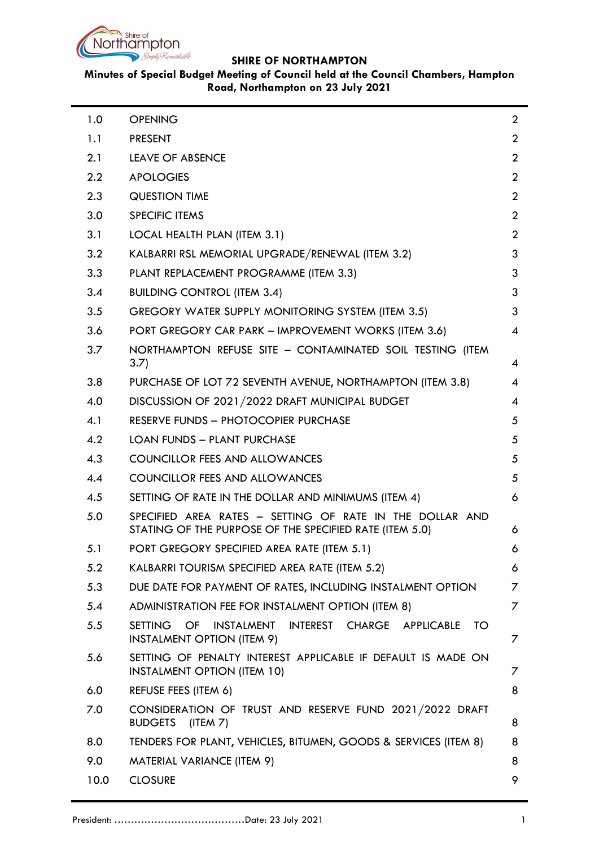

# **Minutes of Special Budget Meeting of Council held at the Council Chambers, Hampton Road, Northampton on 23 July 2021**

| 1.0  | <b>OPENING</b>                                                                                                      | $\overline{2}$ |
|------|---------------------------------------------------------------------------------------------------------------------|----------------|
| 1.1  | <b>PRESENT</b>                                                                                                      | $\overline{2}$ |
| 2.1  | <b>LEAVE OF ABSENCE</b>                                                                                             | $\overline{2}$ |
| 2.2  | <b>APOLOGIES</b>                                                                                                    | $\overline{2}$ |
| 2.3  | <b>QUESTION TIME</b>                                                                                                | $\overline{2}$ |
| 3.0  | SPECIFIC ITEMS                                                                                                      | $\overline{2}$ |
| 3.1  | LOCAL HEALTH PLAN (ITEM 3.1)                                                                                        | $\overline{2}$ |
| 3.2  | KALBARRI RSL MEMORIAL UPGRADE/RENEWAL (ITEM 3.2)                                                                    | 3              |
| 3.3  | PLANT REPLACEMENT PROGRAMME (ITEM 3.3)                                                                              | 3              |
| 3.4  | <b>BUILDING CONTROL (ITEM 3.4)</b>                                                                                  | 3              |
| 3.5  | GREGORY WATER SUPPLY MONITORING SYSTEM (ITEM 3.5)                                                                   | 3              |
| 3.6  | PORT GREGORY CAR PARK - IMPROVEMENT WORKS (ITEM 3.6)                                                                | 4              |
| 3.7  | NORTHAMPTON REFUSE SITE - CONTAMINATED SOIL TESTING (ITEM<br>3.7)                                                   | 4              |
| 3.8  | PURCHASE OF LOT 72 SEVENTH AVENUE, NORTHAMPTON (ITEM 3.8)                                                           | 4              |
| 4.0  | DISCUSSION OF 2021/2022 DRAFT MUNICIPAL BUDGET                                                                      | 4              |
| 4.1  | RESERVE FUNDS - PHOTOCOPIER PURCHASE                                                                                | 5              |
| 4.2  | <b>LOAN FUNDS - PLANT PURCHASE</b>                                                                                  | 5              |
| 4.3  | COUNCILLOR FEES AND ALLOWANCES                                                                                      | 5              |
| 4.4  | COUNCILLOR FEES AND ALLOWANCES                                                                                      | 5              |
| 4.5  | SETTING OF RATE IN THE DOLLAR AND MINIMUMS (ITEM 4)                                                                 | 6              |
| 5.0  | SPECIFIED AREA RATES - SETTING OF RATE IN THE DOLLAR AND<br>STATING OF THE PURPOSE OF THE SPECIFIED RATE (ITEM 5.0) | 6              |
| 5.1  | PORT GREGORY SPECIFIED AREA RATE (ITEM 5.1)                                                                         | 6              |
| 5.2  | KALBARRI TOURISM SPECIFIED AREA RATE (ITEM 5.2)                                                                     | 6              |
| 5.3  | DUE DATE FOR PAYMENT OF RATES, INCLUDING INSTALMENT OPTION                                                          | 7              |
| 5.4  | ADMINISTRATION FEE FOR INSTALMENT OPTION (ITEM 8)                                                                   | 7              |
| 5.5  | SETTING OF INSTALMENT INTEREST CHARGE APPLICABLE<br>TO.<br><b>INSTALMENT OPTION (ITEM 9)</b>                        | 7              |
| 5.6  | SETTING OF PENALTY INTEREST APPLICABLE IF DEFAULT IS MADE ON<br><b>INSTALMENT OPTION (ITEM 10)</b>                  | 7              |
| 6.0  | REFUSE FEES (ITEM 6)                                                                                                | 8              |
| 7.0  | CONSIDERATION OF TRUST AND RESERVE FUND 2021/2022 DRAFT<br>BUDGETS (ITEM 7)                                         | 8              |
| 8.0  | TENDERS FOR PLANT, VEHICLES, BITUMEN, GOODS & SERVICES (ITEM 8)                                                     | 8              |
| 9.0  | MATERIAL VARIANCE (ITEM 9)                                                                                          | 8              |
| 10.0 | <b>CLOSURE</b>                                                                                                      | 9              |
|      |                                                                                                                     |                |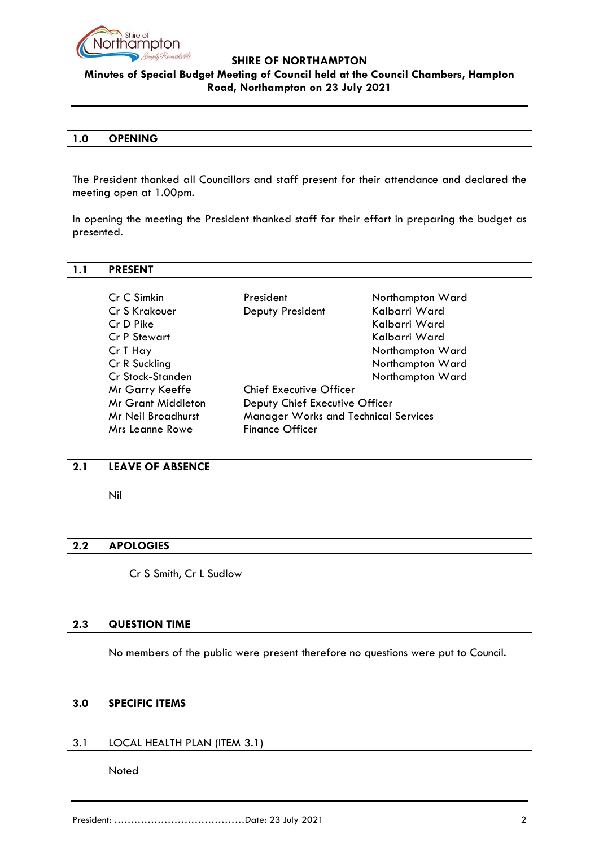

# **Minutes of Special Budget Meeting of Council held at the Council Chambers, Hampton Road, Northampton on 23 July 2021**

### <span id="page-1-0"></span>**1.0 OPENING**

The President thanked all Councillors and staff present for their attendance and declared the meeting open at 1.00pm.

In opening the meeting the President thanked staff for their effort in preparing the budget as presented.

#### <span id="page-1-1"></span>**1.1 PRESENT**

| Cr C Simkin               | President                                   | Northampton Ward |  |
|---------------------------|---------------------------------------------|------------------|--|
| Cr S Krakouer             | Deputy President                            | Kalbarri Ward    |  |
| Cr D Pike                 |                                             | Kalbarri Ward    |  |
| <b>Cr P Stewart</b>       |                                             | Kalbarri Ward    |  |
| Cr T Hay                  |                                             | Northampton Ward |  |
| Cr R Suckling             |                                             | Northampton Ward |  |
| Cr Stock-Standen          |                                             | Northampton Ward |  |
| Mr Garry Keeffe           | <b>Chief Executive Officer</b>              |                  |  |
| <b>Mr Grant Middleton</b> | Deputy Chief Executive Officer              |                  |  |
| Mr Neil Broadhurst        | <b>Manager Works and Technical Services</b> |                  |  |
| Mrs Leanne Rowe           | <b>Finance Officer</b>                      |                  |  |

#### <span id="page-1-2"></span>**2.1 LEAVE OF ABSENCE**

Nil

## <span id="page-1-3"></span>**2.2 APOLOGIES**

Cr S Smith, Cr L Sudlow

#### <span id="page-1-4"></span>**2.3 QUESTION TIME**

No members of the public were present therefore no questions were put to Council.

# <span id="page-1-5"></span>**3.0 SPECIFIC ITEMS**

### <span id="page-1-6"></span>3.1 LOCAL HEALTH PLAN (ITEM 3.1)

Noted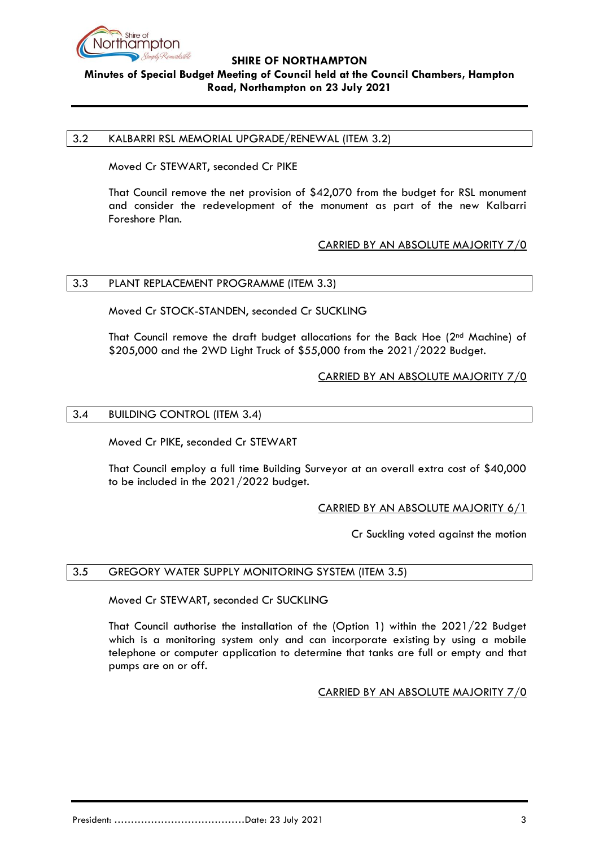

# **Minutes of Special Budget Meeting of Council held at the Council Chambers, Hampton Road, Northampton on 23 July 2021**

### <span id="page-2-0"></span>3.2 KALBARRI RSL MEMORIAL UPGRADE/RENEWAL (ITEM 3.2)

Moved Cr STEWART, seconded Cr PIKE

That Council remove the net provision of \$42,070 from the budget for RSL monument and consider the redevelopment of the monument as part of the new Kalbarri Foreshore Plan.

## CARRIED BY AN ABSOLUTE MAJORITY 7/0

### <span id="page-2-1"></span>3.3 PLANT REPLACEMENT PROGRAMME (ITEM 3.3)

Moved Cr STOCK-STANDEN, seconded Cr SUCKLING

That Council remove the draft budget allocations for the Back Hoe (2nd Machine) of \$205,000 and the 2WD Light Truck of \$55,000 from the 2021/2022 Budget.

### CARRIED BY AN ABSOLUTE MAJORITY 7/0

### <span id="page-2-2"></span>3.4 BUILDING CONTROL (ITEM 3.4)

Moved Cr PIKE, seconded Cr STEWART

That Council employ a full time Building Surveyor at an overall extra cost of \$40,000 to be included in the 2021/2022 budget.

### CARRIED BY AN ABSOLUTE MAJORITY 6/1

Cr Suckling voted against the motion

### <span id="page-2-3"></span>3.5 GREGORY WATER SUPPLY MONITORING SYSTEM (ITEM 3.5)

Moved Cr STEWART, seconded Cr SUCKLING

<span id="page-2-4"></span>That Council authorise the installation of the (Option 1) within the 2021/22 Budget which is a monitoring system only and can incorporate existing by using a mobile telephone or computer application to determine that tanks are full or empty and that pumps are on or off.

CARRIED BY AN ABSOLUTE MAJORITY 7/0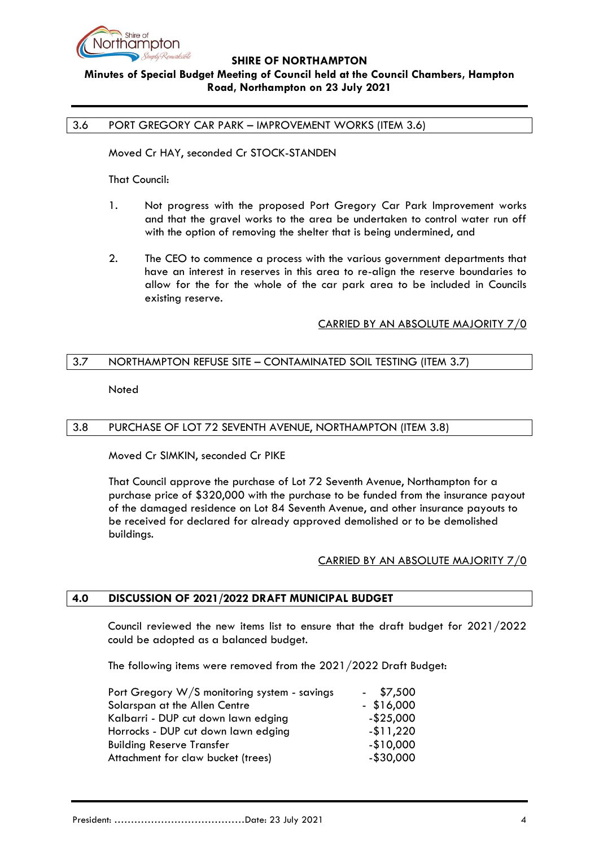

# **Minutes of Special Budget Meeting of Council held at the Council Chambers, Hampton Road, Northampton on 23 July 2021**

### 3.6 PORT GREGORY CAR PARK – IMPROVEMENT WORKS (ITEM 3.6)

Moved Cr HAY, seconded Cr STOCK-STANDEN

That Council:

- 1. Not progress with the proposed Port Gregory Car Park Improvement works and that the gravel works to the area be undertaken to control water run off with the option of removing the shelter that is being undermined, and
- 2. The CEO to commence a process with the various government departments that have an interest in reserves in this area to re-align the reserve boundaries to allow for the for the whole of the car park area to be included in Councils existing reserve.

### CARRIED BY AN ABSOLUTE MAJORITY 7/0

## <span id="page-3-0"></span>3.7 NORTHAMPTON REFUSE SITE – CONTAMINATED SOIL TESTING (ITEM 3.7)

Noted

### <span id="page-3-1"></span>3.8 PURCHASE OF LOT 72 SEVENTH AVENUE, NORTHAMPTON (ITEM 3.8)

Moved Cr SIMKIN, seconded Cr PIKE

That Council approve the purchase of Lot 72 Seventh Avenue, Northampton for a purchase price of \$320,000 with the purchase to be funded from the insurance payout of the damaged residence on Lot 84 Seventh Avenue, and other insurance payouts to be received for declared for already approved demolished or to be demolished buildings.

### CARRIED BY AN ABSOLUTE MAJORITY 7/0

## <span id="page-3-2"></span>**4.0 DISCUSSION OF 2021/2022 DRAFT MUNICIPAL BUDGET**

Council reviewed the new items list to ensure that the draft budget for 2021/2022 could be adopted as a balanced budget.

The following items were removed from the 2021/2022 Draft Budget:

| Port Gregory W/S monitoring system - savings | $-$ \$7,500  |
|----------------------------------------------|--------------|
| Solarspan at the Allen Centre                | $-$ \$16,000 |
| Kalbarri - DUP cut down lawn edging          | $-$ \$25,000 |
| Horrocks - DUP cut down lawn edging          | $-11,220$    |
| <b>Building Reserve Transfer</b>             | $-$10,000$   |
| Attachment for claw bucket (trees)           | $-$ \$30,000 |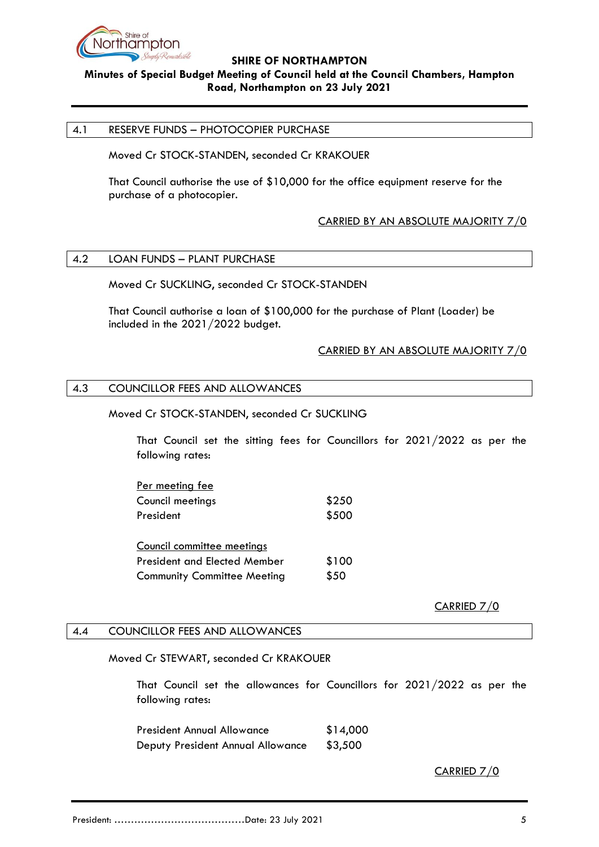

# **Minutes of Special Budget Meeting of Council held at the Council Chambers, Hampton Road, Northampton on 23 July 2021**

### <span id="page-4-0"></span>4.1 RESERVE FUNDS – PHOTOCOPIER PURCHASE

Moved Cr STOCK-STANDEN, seconded Cr KRAKOUER

That Council authorise the use of \$10,000 for the office equipment reserve for the purchase of a photocopier.

## CARRIED BY AN ABSOLUTE MAJORITY 7/0

# <span id="page-4-1"></span>4.2 LOAN FUNDS – PLANT PURCHASE

Moved Cr SUCKLING, seconded Cr STOCK-STANDEN

That Council authorise a loan of \$100,000 for the purchase of Plant (Loader) be included in the 2021/2022 budget.

### CARRIED BY AN ABSOLUTE MAJORITY 7/0

### <span id="page-4-2"></span>4.3 COUNCILLOR FEES AND ALLOWANCES

### Moved Cr STOCK-STANDEN, seconded Cr SUCKLING

That Council set the sitting fees for Councillors for 2021/2022 as per the following rates:

| Per meeting fee                     |       |
|-------------------------------------|-------|
| Council meetings                    | \$250 |
| President                           | \$500 |
| Council committee meetings          |       |
| <b>President and Elected Member</b> | \$100 |

Community Committee Meeting \$50

CARRIED 7/0

### <span id="page-4-3"></span>4.4 COUNCILLOR FEES AND ALLOWANCES

Moved Cr STEWART, seconded Cr KRAKOUER

That Council set the allowances for Councillors for 2021/2022 as per the following rates:

President Annual Allowance \$14,000 Deputy President Annual Allowance \$3,500

CARRIED 7/0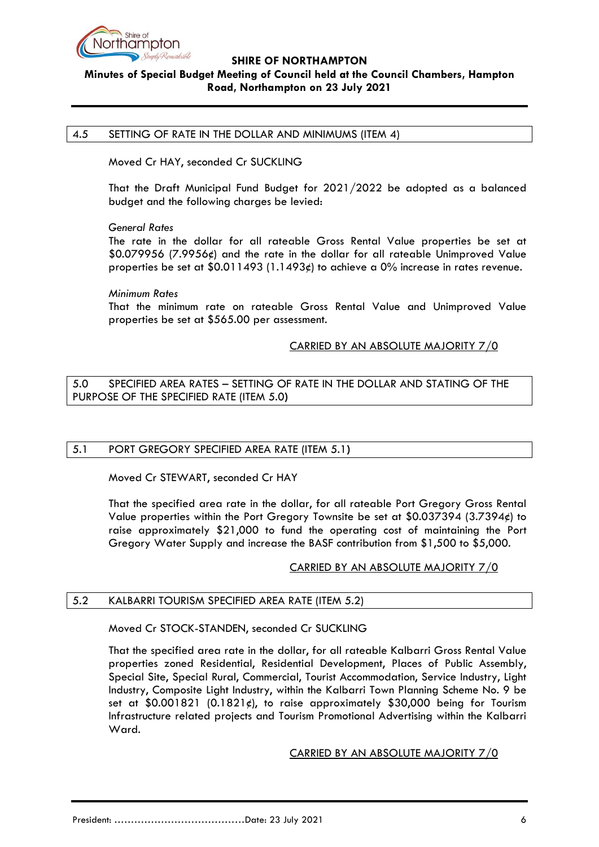

# **Minutes of Special Budget Meeting of Council held at the Council Chambers, Hampton Road, Northampton on 23 July 2021**

### <span id="page-5-0"></span>4.5 SETTING OF RATE IN THE DOLLAR AND MINIMUMS (ITEM 4)

Moved Cr HAY, seconded Cr SUCKLING

That the Draft Municipal Fund Budget for 2021/2022 be adopted as a balanced budget and the following charges be levied:

### *General Rates*

The rate in the dollar for all rateable Gross Rental Value properties be set at \$0.079956 (7.9956¢) and the rate in the dollar for all rateable Unimproved Value properties be set at  $0.011493$  (1.1493¢) to achieve a 0% increase in rates revenue.

### *Minimum Rates*

That the minimum rate on rateable Gross Rental Value and Unimproved Value properties be set at \$565.00 per assessment.

## CARRIED BY AN ABSOLUTE MAJORITY 7/0

<span id="page-5-1"></span>5.0 SPECIFIED AREA RATES – SETTING OF RATE IN THE DOLLAR AND STATING OF THE PURPOSE OF THE SPECIFIED RATE (ITEM 5.0**)**

### <span id="page-5-2"></span>5.1 PORT GREGORY SPECIFIED AREA RATE (ITEM 5.1**)**

Moved Cr STEWART, seconded Cr HAY

That the specified area rate in the dollar, for all rateable Port Gregory Gross Rental Value properties within the Port Gregory Townsite be set at  $$0.037394 (3.7394)$  to raise approximately \$21,000 to fund the operating cost of maintaining the Port Gregory Water Supply and increase the BASF contribution from \$1,500 to \$5,000.

### CARRIED BY AN ABSOLUTE MAJORITY 7/0

### <span id="page-5-3"></span>5.2 KALBARRI TOURISM SPECIFIED AREA RATE (ITEM 5.2)

### Moved Cr STOCK-STANDEN, seconded Cr SUCKLING

That the specified area rate in the dollar, for all rateable Kalbarri Gross Rental Value properties zoned Residential, Residential Development, Places of Public Assembly, Special Site, Special Rural, Commercial, Tourist Accommodation, Service Industry, Light Industry, Composite Light Industry, within the Kalbarri Town Planning Scheme No. 9 be set at  $$0.001821$  (0.1821¢), to raise approximately \$30,000 being for Tourism Infrastructure related projects and Tourism Promotional Advertising within the Kalbarri Ward.

### CARRIED BY AN ABSOLUTE MAJORITY 7/0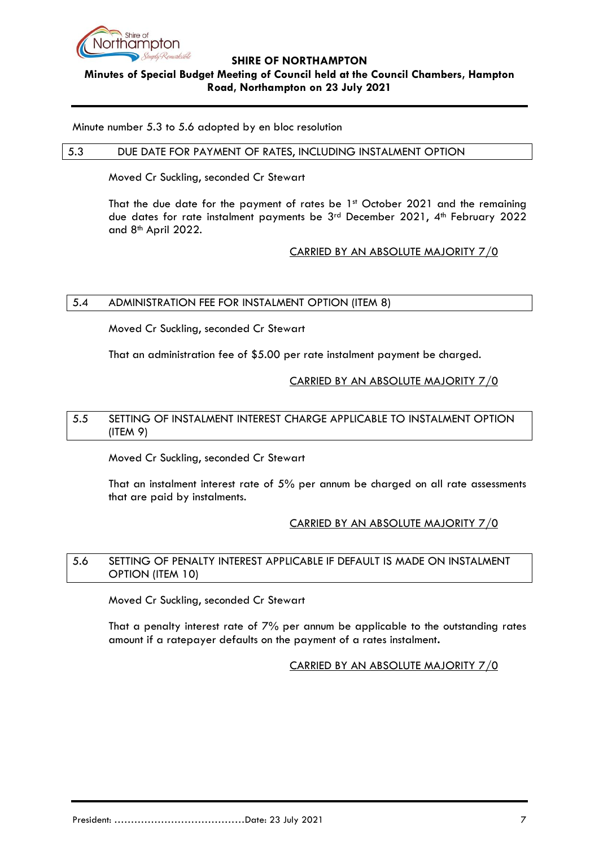

# **Minutes of Special Budget Meeting of Council held at the Council Chambers, Hampton Road, Northampton on 23 July 2021**

Minute number 5.3 to 5.6 adopted by en bloc resolution

### <span id="page-6-0"></span>5.3 DUE DATE FOR PAYMENT OF RATES, INCLUDING INSTALMENT OPTION

Moved Cr Suckling, seconded Cr Stewart

That the due date for the payment of rates be 1st October 2021 and the remaining due dates for rate instalment payments be 3<sup>rd</sup> December 2021, 4<sup>th</sup> February 2022 and 8th April 2022.

# CARRIED BY AN ABSOLUTE MAJORITY 7/0

# <span id="page-6-1"></span>5.4 ADMINISTRATION FEE FOR INSTALMENT OPTION (ITEM 8)

Moved Cr Suckling, seconded Cr Stewart

That an administration fee of \$5.00 per rate instalment payment be charged.

## CARRIED BY AN ABSOLUTE MAJORITY 7/0

## <span id="page-6-2"></span>5.5 SETTING OF INSTALMENT INTEREST CHARGE APPLICABLE TO INSTALMENT OPTION (ITEM 9)

Moved Cr Suckling, seconded Cr Stewart

That an instalment interest rate of 5% per annum be charged on all rate assessments that are paid by instalments.

# CARRIED BY AN ABSOLUTE MAJORITY 7/0

# <span id="page-6-3"></span>5.6 SETTING OF PENALTY INTEREST APPLICABLE IF DEFAULT IS MADE ON INSTALMENT OPTION (ITEM 10)

Moved Cr Suckling, seconded Cr Stewart

That a penalty interest rate of 7% per annum be applicable to the outstanding rates amount if a ratepayer defaults on the payment of a rates instalment**.**

# CARRIED BY AN ABSOLUTE MAJORITY 7/0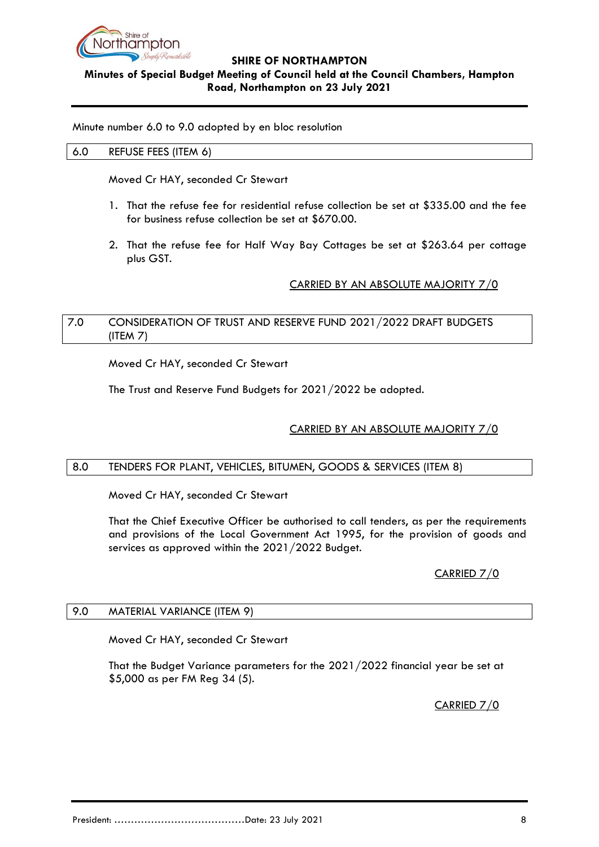

# **Minutes of Special Budget Meeting of Council held at the Council Chambers, Hampton Road, Northampton on 23 July 2021**

<span id="page-7-0"></span>Minute number 6.0 to 9.0 adopted by en bloc resolution

### 6.0 REFUSE FEES (ITEM 6)

Moved Cr HAY, seconded Cr Stewart

- 1. That the refuse fee for residential refuse collection be set at \$335.00 and the fee for business refuse collection be set at \$670.00.
- 2. That the refuse fee for Half Way Bay Cottages be set at \$263.64 per cottage plus GST.

# CARRIED BY AN ABSOLUTE MAJORITY 7/0

## <span id="page-7-1"></span>7.0 CONSIDERATION OF TRUST AND RESERVE FUND 2021/2022 DRAFT BUDGETS (ITEM 7)

Moved Cr HAY, seconded Cr Stewart

The Trust and Reserve Fund Budgets for 2021/2022 be adopted.

# CARRIED BY AN ABSOLUTE MAJORITY 7/0

### <span id="page-7-2"></span>8.0 TENDERS FOR PLANT, VEHICLES, BITUMEN, GOODS & SERVICES (ITEM 8)

Moved Cr HAY, seconded Cr Stewart

That the Chief Executive Officer be authorised to call tenders, as per the requirements and provisions of the Local Government Act 1995, for the provision of goods and services as approved within the 2021/2022 Budget.

# CARRIED 7/0

### <span id="page-7-3"></span>9.0 MATERIAL VARIANCE (ITEM 9)

Moved Cr HAY, seconded Cr Stewart

That the Budget Variance parameters for the 2021/2022 financial year be set at \$5,000 as per FM Reg 34 (5).

CARRIED 7/0